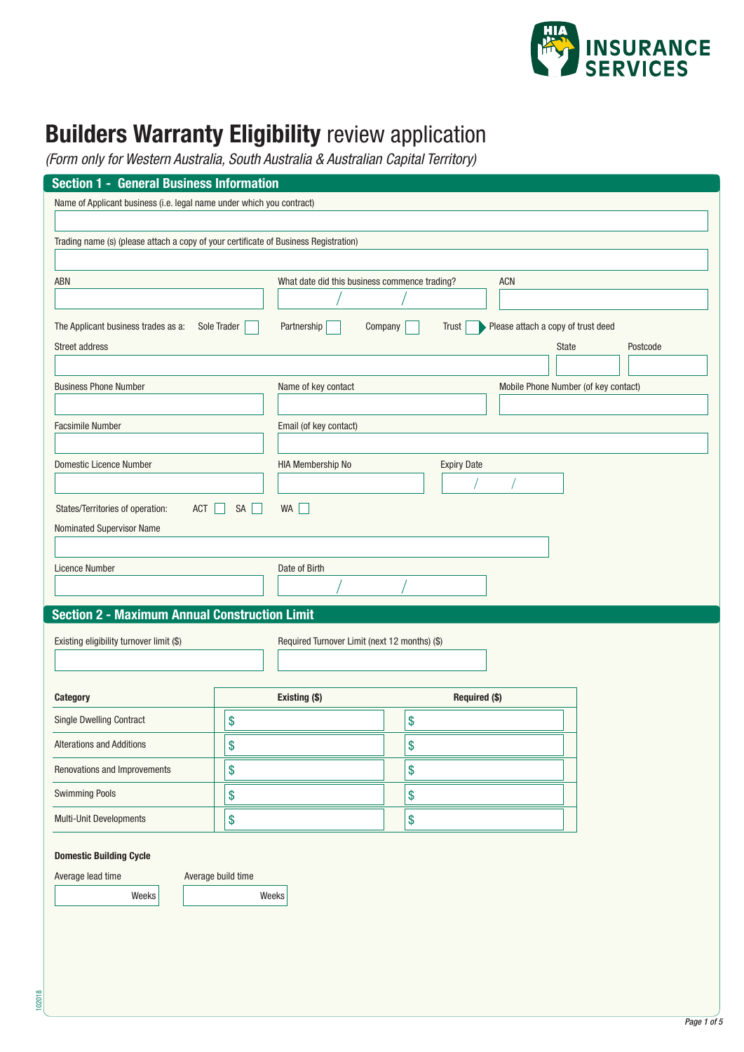

# **Builders Warranty Eligibility** review application

*(Form only for Western Australia, South Australia & Australian Capital Territory)*

102018

| <b>Section 1 - General Business Information</b>                                                                             |                                                  |                                               |  |  |  |  |  |
|-----------------------------------------------------------------------------------------------------------------------------|--------------------------------------------------|-----------------------------------------------|--|--|--|--|--|
| Name of Applicant business (i.e. legal name under which you contract)                                                       |                                                  |                                               |  |  |  |  |  |
|                                                                                                                             |                                                  |                                               |  |  |  |  |  |
| Trading name (s) (please attach a copy of your certificate of Business Registration)                                        |                                                  |                                               |  |  |  |  |  |
|                                                                                                                             |                                                  |                                               |  |  |  |  |  |
| ABN<br>ACN<br>What date did this business commence trading?                                                                 |                                                  |                                               |  |  |  |  |  |
|                                                                                                                             |                                                  |                                               |  |  |  |  |  |
| Please attach a copy of trust deed<br>The Applicant business trades as a:<br>Sole Trader<br>Partnership<br>Company<br>Trust |                                                  |                                               |  |  |  |  |  |
| Street address                                                                                                              |                                                  | <b>State</b><br>Postcode                      |  |  |  |  |  |
|                                                                                                                             |                                                  |                                               |  |  |  |  |  |
| <b>Business Phone Number</b>                                                                                                | Name of key contact                              | Mobile Phone Number (of key contact)          |  |  |  |  |  |
|                                                                                                                             |                                                  |                                               |  |  |  |  |  |
| <b>Facsimile Number</b>                                                                                                     | Email (of key contact)                           |                                               |  |  |  |  |  |
| Domestic Licence Number                                                                                                     | HIA Membership No                                | <b>Expiry Date</b>                            |  |  |  |  |  |
|                                                                                                                             |                                                  |                                               |  |  |  |  |  |
|                                                                                                                             |                                                  |                                               |  |  |  |  |  |
| SA<br>$ACT \Box$<br>WA O<br>States/Territories of operation:                                                                |                                                  |                                               |  |  |  |  |  |
| Nominated Supervisor Name                                                                                                   |                                                  |                                               |  |  |  |  |  |
| Date of Birth<br>Licence Number                                                                                             |                                                  |                                               |  |  |  |  |  |
|                                                                                                                             |                                                  |                                               |  |  |  |  |  |
| <b>Section 2 - Maximum Annual Construction Limit</b>                                                                        |                                                  |                                               |  |  |  |  |  |
|                                                                                                                             |                                                  |                                               |  |  |  |  |  |
| Existing eligibility turnover limit (\$)                                                                                    |                                                  | Required Turnover Limit (next 12 months) (\$) |  |  |  |  |  |
|                                                                                                                             |                                                  |                                               |  |  |  |  |  |
| <b>Category</b>                                                                                                             | Existing (\$)                                    | Required (\$)                                 |  |  |  |  |  |
| <b>Single Dwelling Contract</b>                                                                                             | \$                                               | $\boldsymbol{\$}$                             |  |  |  |  |  |
| <b>Alterations and Additions</b>                                                                                            | \$                                               | \$                                            |  |  |  |  |  |
| Renovations and Improvements                                                                                                | \$                                               | \$                                            |  |  |  |  |  |
| <b>Swimming Pools</b>                                                                                                       | \$                                               | \$                                            |  |  |  |  |  |
| Multi-Unit Developments                                                                                                     | \$                                               | \$                                            |  |  |  |  |  |
|                                                                                                                             |                                                  |                                               |  |  |  |  |  |
| <b>Domestic Building Cycle</b>                                                                                              |                                                  |                                               |  |  |  |  |  |
| Weeks                                                                                                                       | Average build time<br>Average lead time<br>Weeks |                                               |  |  |  |  |  |
|                                                                                                                             |                                                  |                                               |  |  |  |  |  |
|                                                                                                                             |                                                  |                                               |  |  |  |  |  |
|                                                                                                                             |                                                  |                                               |  |  |  |  |  |
|                                                                                                                             |                                                  |                                               |  |  |  |  |  |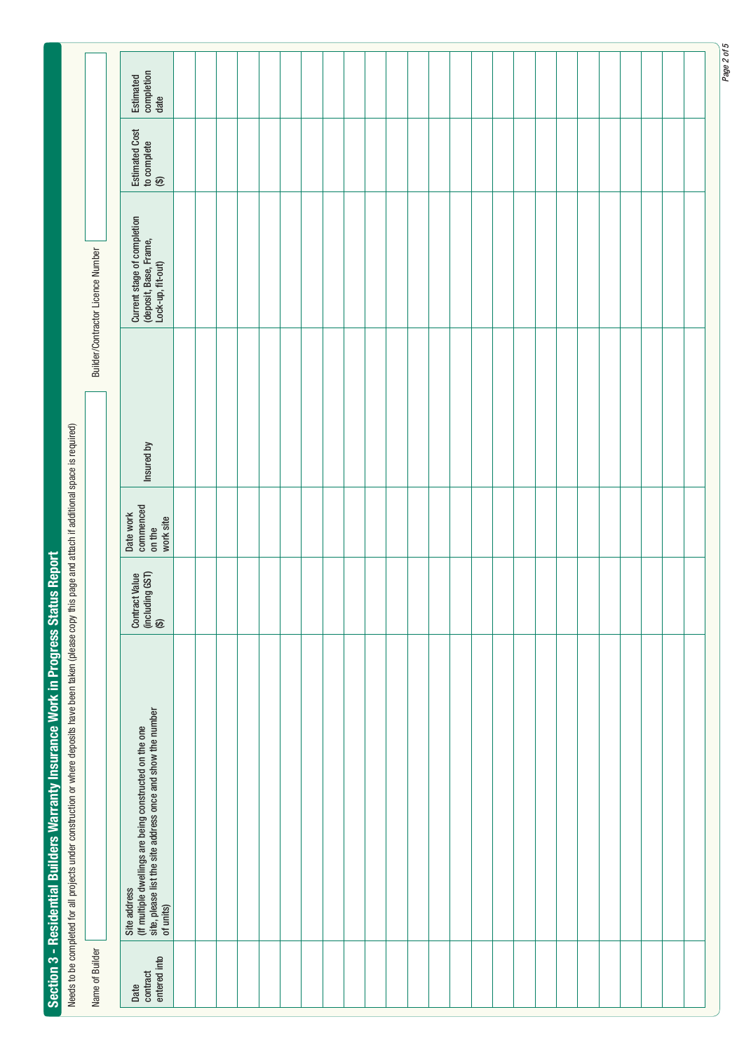|                                  | Needs to be completed for all projects under construction or where deposits have been taken (please copy this page and attach if additional space is required) |                                           |                                               |            |                                                                            |                                       |                                 |
|----------------------------------|----------------------------------------------------------------------------------------------------------------------------------------------------------------|-------------------------------------------|-----------------------------------------------|------------|----------------------------------------------------------------------------|---------------------------------------|---------------------------------|
| Name of Builder                  |                                                                                                                                                                |                                           |                                               |            | Builder/Contractor Licence Number                                          |                                       |                                 |
| Date<br>contract<br>entered into | (If multiple dwellings are being constructed on the one<br>site, please list the site address once and show the number<br>of units)<br>Site address            | Contract Value<br>(including GST)<br>(\$) | Date work<br>commenced<br>work site<br>on the | Insured by | Current stage of completion<br>(deposit, Base, Frame,<br>Lock-up, fit-out) | Estimated Cost<br>to complete<br>(\$) | completion<br>date<br>Estimated |
|                                  |                                                                                                                                                                |                                           |                                               |            |                                                                            |                                       |                                 |
|                                  |                                                                                                                                                                |                                           |                                               |            |                                                                            |                                       |                                 |
|                                  |                                                                                                                                                                |                                           |                                               |            |                                                                            |                                       |                                 |
|                                  |                                                                                                                                                                |                                           |                                               |            |                                                                            |                                       |                                 |
|                                  |                                                                                                                                                                |                                           |                                               |            |                                                                            |                                       |                                 |
|                                  |                                                                                                                                                                |                                           |                                               |            |                                                                            |                                       |                                 |
|                                  |                                                                                                                                                                |                                           |                                               |            |                                                                            |                                       |                                 |
|                                  |                                                                                                                                                                |                                           |                                               |            |                                                                            |                                       |                                 |
|                                  |                                                                                                                                                                |                                           |                                               |            |                                                                            |                                       |                                 |
|                                  |                                                                                                                                                                |                                           |                                               |            |                                                                            |                                       |                                 |
|                                  |                                                                                                                                                                |                                           |                                               |            |                                                                            |                                       |                                 |
|                                  |                                                                                                                                                                |                                           |                                               |            |                                                                            |                                       |                                 |
|                                  |                                                                                                                                                                |                                           |                                               |            |                                                                            |                                       |                                 |
|                                  |                                                                                                                                                                |                                           |                                               |            |                                                                            |                                       |                                 |
|                                  |                                                                                                                                                                |                                           |                                               |            |                                                                            |                                       |                                 |
|                                  |                                                                                                                                                                |                                           |                                               |            |                                                                            |                                       |                                 |
|                                  |                                                                                                                                                                |                                           |                                               |            |                                                                            |                                       |                                 |
|                                  |                                                                                                                                                                |                                           |                                               |            |                                                                            |                                       |                                 |
|                                  |                                                                                                                                                                |                                           |                                               |            |                                                                            |                                       |                                 |
|                                  |                                                                                                                                                                |                                           |                                               |            |                                                                            |                                       |                                 |
|                                  |                                                                                                                                                                |                                           |                                               |            |                                                                            |                                       |                                 |
|                                  |                                                                                                                                                                |                                           |                                               |            |                                                                            |                                       |                                 |
|                                  |                                                                                                                                                                |                                           |                                               |            |                                                                            |                                       |                                 |
|                                  |                                                                                                                                                                |                                           |                                               |            |                                                                            |                                       |                                 |
|                                  |                                                                                                                                                                |                                           |                                               |            |                                                                            |                                       | Page 2 of 5                     |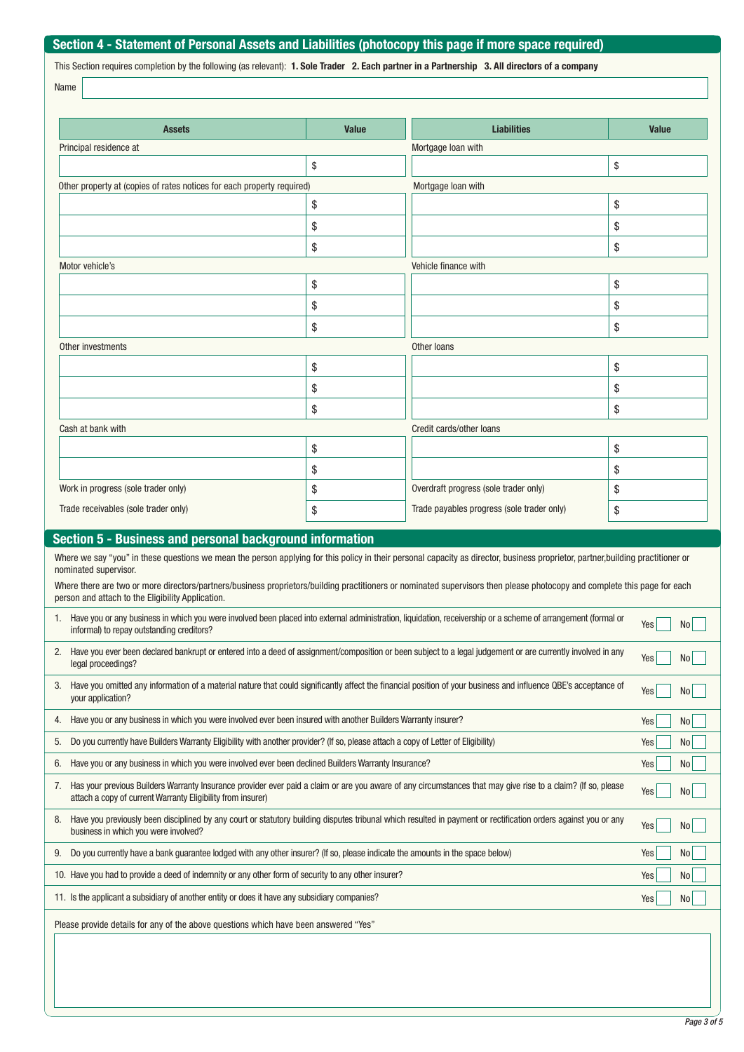## **Section 4 - Statement of Personal Assets and Liabilities (photocopy this page if more space required)**

This Section requires completion by the following (as relevant): **1. Sole Trader 2. Each partner in a Partnership 3. All directors of a company**

Name

|                                                                                                                                                                                                                                                                                                                                                                                                                                                                                                                                                                                                                                            | <b>Value</b> | <b>Liabilities</b>                                                                                                                                              | <b>Value</b>           |  |  |  |
|--------------------------------------------------------------------------------------------------------------------------------------------------------------------------------------------------------------------------------------------------------------------------------------------------------------------------------------------------------------------------------------------------------------------------------------------------------------------------------------------------------------------------------------------------------------------------------------------------------------------------------------------|--------------|-----------------------------------------------------------------------------------------------------------------------------------------------------------------|------------------------|--|--|--|
| Principal residence at<br>Mortgage Ioan with                                                                                                                                                                                                                                                                                                                                                                                                                                                                                                                                                                                               |              |                                                                                                                                                                 |                        |  |  |  |
| \$<br>\$                                                                                                                                                                                                                                                                                                                                                                                                                                                                                                                                                                                                                                   |              |                                                                                                                                                                 |                        |  |  |  |
| Other property at (copies of rates notices for each property required)                                                                                                                                                                                                                                                                                                                                                                                                                                                                                                                                                                     |              | Mortgage loan with                                                                                                                                              |                        |  |  |  |
| \$<br>\$                                                                                                                                                                                                                                                                                                                                                                                                                                                                                                                                                                                                                                   |              |                                                                                                                                                                 |                        |  |  |  |
| \$<br>\$                                                                                                                                                                                                                                                                                                                                                                                                                                                                                                                                                                                                                                   |              |                                                                                                                                                                 |                        |  |  |  |
| \$<br>\$                                                                                                                                                                                                                                                                                                                                                                                                                                                                                                                                                                                                                                   |              |                                                                                                                                                                 |                        |  |  |  |
| Motor vehicle's<br>Vehicle finance with                                                                                                                                                                                                                                                                                                                                                                                                                                                                                                                                                                                                    |              |                                                                                                                                                                 |                        |  |  |  |
| \$<br>\$                                                                                                                                                                                                                                                                                                                                                                                                                                                                                                                                                                                                                                   |              |                                                                                                                                                                 |                        |  |  |  |
| \$<br>\$                                                                                                                                                                                                                                                                                                                                                                                                                                                                                                                                                                                                                                   |              |                                                                                                                                                                 |                        |  |  |  |
| \$<br>\$                                                                                                                                                                                                                                                                                                                                                                                                                                                                                                                                                                                                                                   |              |                                                                                                                                                                 |                        |  |  |  |
| Other investments<br>Other loans                                                                                                                                                                                                                                                                                                                                                                                                                                                                                                                                                                                                           |              |                                                                                                                                                                 |                        |  |  |  |
| \$<br>\$                                                                                                                                                                                                                                                                                                                                                                                                                                                                                                                                                                                                                                   |              |                                                                                                                                                                 |                        |  |  |  |
| \$<br>\$                                                                                                                                                                                                                                                                                                                                                                                                                                                                                                                                                                                                                                   |              |                                                                                                                                                                 |                        |  |  |  |
| \$<br>\$                                                                                                                                                                                                                                                                                                                                                                                                                                                                                                                                                                                                                                   |              |                                                                                                                                                                 |                        |  |  |  |
| Credit cards/other loans<br>Cash at bank with                                                                                                                                                                                                                                                                                                                                                                                                                                                                                                                                                                                              |              |                                                                                                                                                                 |                        |  |  |  |
|                                                                                                                                                                                                                                                                                                                                                                                                                                                                                                                                                                                                                                            | \$           | \$                                                                                                                                                              |                        |  |  |  |
|                                                                                                                                                                                                                                                                                                                                                                                                                                                                                                                                                                                                                                            | \$           | \$                                                                                                                                                              |                        |  |  |  |
| Overdraft progress (sole trader only)<br>Work in progress (sole trader only)<br>\$<br>\$                                                                                                                                                                                                                                                                                                                                                                                                                                                                                                                                                   |              |                                                                                                                                                                 |                        |  |  |  |
| Trade receivables (sole trader only)                                                                                                                                                                                                                                                                                                                                                                                                                                                                                                                                                                                                       | \$           | Trade payables progress (sole trader only)<br>\$                                                                                                                |                        |  |  |  |
| Section 5 - Business and personal background information                                                                                                                                                                                                                                                                                                                                                                                                                                                                                                                                                                                   |              |                                                                                                                                                                 |                        |  |  |  |
| nominated supervisor.<br>Where there are two or more directors/partners/business proprietors/building practitioners or nominated supervisors then please photocopy and complete this page for each<br>person and attach to the Eligibility Application.<br>1. Have you or any business in which you were involved been placed into external administration, liquidation, receivership or a scheme of arrangement (formal or<br>informal) to repay outstanding creditors?<br>2. Have you ever been declared bankrupt or entered into a deed of assignment/composition or been subject to a legal judgement or are currently involved in any |              |                                                                                                                                                                 |                        |  |  |  |
|                                                                                                                                                                                                                                                                                                                                                                                                                                                                                                                                                                                                                                            |              |                                                                                                                                                                 | Yes  <br>No            |  |  |  |
| legal proceedings?                                                                                                                                                                                                                                                                                                                                                                                                                                                                                                                                                                                                                         |              |                                                                                                                                                                 | Yes I<br>No            |  |  |  |
| 3.<br>your application?                                                                                                                                                                                                                                                                                                                                                                                                                                                                                                                                                                                                                    |              | Have you omitted any information of a material nature that could significantly affect the financial position of your business and influence QBE's acceptance of | Yes<br>No <sub>1</sub> |  |  |  |
| Have you or any business in which you were involved ever been insured with another Builders Warranty insurer?<br>4.                                                                                                                                                                                                                                                                                                                                                                                                                                                                                                                        |              |                                                                                                                                                                 | Yes<br>No              |  |  |  |
| Do you currently have Builders Warranty Eligibility with another provider? (If so, please attach a copy of Letter of Eligibility)<br>5.                                                                                                                                                                                                                                                                                                                                                                                                                                                                                                    |              |                                                                                                                                                                 | Yes<br>No              |  |  |  |
| Have you or any business in which you were involved ever been declined Builders Warranty Insurance?<br>6.                                                                                                                                                                                                                                                                                                                                                                                                                                                                                                                                  |              |                                                                                                                                                                 | No<br>Yes              |  |  |  |
| 7.<br>attach a copy of current Warranty Eligibility from insurer)                                                                                                                                                                                                                                                                                                                                                                                                                                                                                                                                                                          |              | Has your previous Builders Warranty Insurance provider ever paid a claim or are you aware of any circumstances that may give rise to a claim? (If so, please    | Yes<br>No              |  |  |  |
| 8.<br>business in which you were involved?                                                                                                                                                                                                                                                                                                                                                                                                                                                                                                                                                                                                 |              | Have you previously been disciplined by any court or statutory building disputes tribunal which resulted in payment or rectification orders against you or any  | Yes<br>No <sub>1</sub> |  |  |  |
| Do you currently have a bank guarantee lodged with any other insurer? (If so, please indicate the amounts in the space below)<br>9.                                                                                                                                                                                                                                                                                                                                                                                                                                                                                                        |              |                                                                                                                                                                 | No<br>Yes              |  |  |  |
| 10. Have you had to provide a deed of indemnity or any other form of security to any other insurer?                                                                                                                                                                                                                                                                                                                                                                                                                                                                                                                                        |              |                                                                                                                                                                 | No <sub>1</sub><br>Yes |  |  |  |
| 11. Is the applicant a subsidiary of another entity or does it have any subsidiary companies?                                                                                                                                                                                                                                                                                                                                                                                                                                                                                                                                              |              |                                                                                                                                                                 | Yes<br>No <sub>1</sub> |  |  |  |
| Please provide details for any of the above questions which have been answered "Yes"                                                                                                                                                                                                                                                                                                                                                                                                                                                                                                                                                       |              |                                                                                                                                                                 |                        |  |  |  |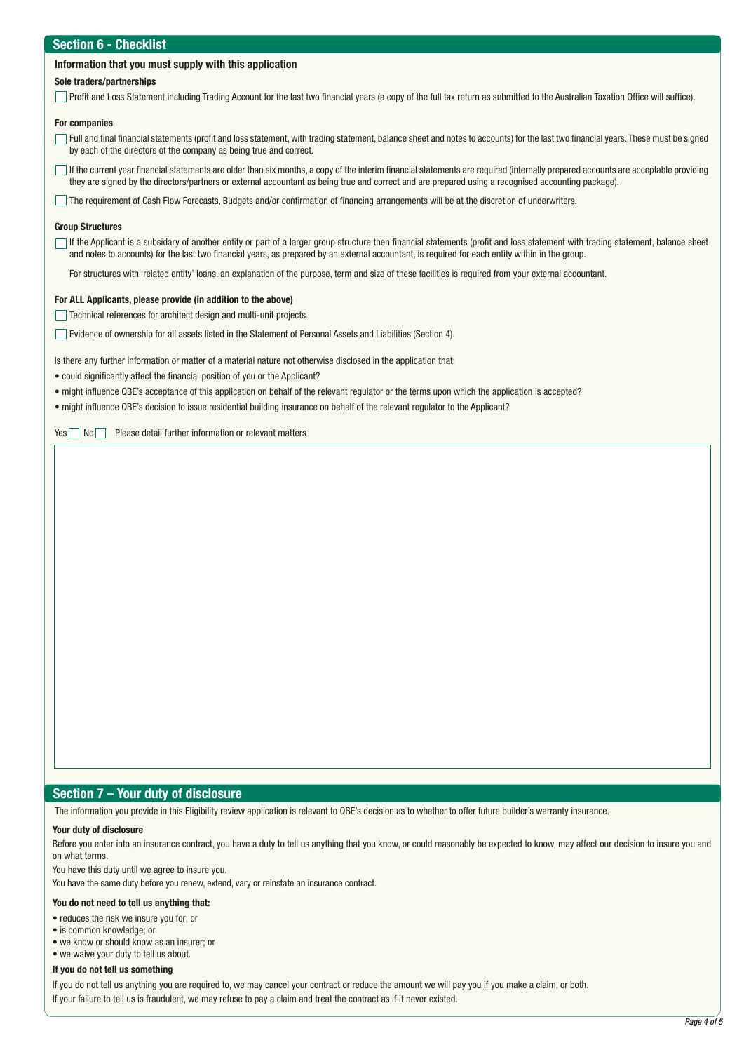#### **Information that you must supply with this application**

#### **Sole traders/partnerships**

Profit and Loss Statement including Trading Account for the last two financial years (a copy of the full tax return as submitted to the Australian Taxation Office will suffice).

#### **For companies**

- Full and final financial statements (profit and loss statement, with trading statement, balance sheet and notes to accounts) for the last two financial years. These must be signed by each of the directors of the company as being true and correct.
- If the current year financial statements are older than six months, a copy of the interim financial statements are required (internally prepared accounts are acceptable providing they are signed by the directors/partners or external accountant as being true and correct and are prepared using a recognised accounting package).
- The requirement of Cash Flow Forecasts, Budgets and/or confirmation of financing arrangements will be at the discretion of underwriters.

#### **Group Structures**

If the Applicant is a subsidary of another entity or part of a larger group structure then financial statements (profit and loss statement with trading statement, balance sheet and notes to accounts) for the last two financial years, as prepared by an external accountant, is required for each entity within in the group.

For structures with 'related entity' loans, an explanation of the purpose, term and size of these facilities is required from your external accountant.

#### **For ALL Applicants, please provide (in addition to the above)**

- Technical references for architect design and multi-unit projects.
- Evidence of ownership for all assets listed in the Statement of Personal Assets and Liabilities (Section 4).

Is there any further information or matter of a material nature not otherwise disclosed in the application that:

- could significantly affect the financial position of you or the Applicant?
- might influence QBE's acceptance of this application on behalf of the relevant regulator or the terms upon which the application is accepted?
- might influence QBE's decision to issue residential building insurance on behalf of the relevant regulator to the Applicant?

 $Yes \n\n $\Box$  No \n $\Box$  Please detail further information or relevant matters$ 

#### **Section 7 – Your duty of disclosure**

The information you provide in this Eligibility review application is relevant to QBE's decision as to whether to offer future builder's warranty insurance.

#### **Your duty of disclosure**

Before you enter into an insurance contract, you have a duty to tell us anything that you know, or could reasonably be expected to know, may affect our decision to insure you and on what terms.

You have this duty until we agree to insure you.

You have the same duty before you renew, extend, vary or reinstate an insurance contract.

#### **You do not need to tell us anything that:**

- reduces the risk we insure you for; or
- is common knowledge; or
- we know or should know as an insurer; or
- we waive your duty to tell us about.

#### **If you do not tell us something**

If you do not tell us anything you are required to, we may cancel your contract or reduce the amount we will pay you if you make a claim, or both.

If your failure to tell us is fraudulent, we may refuse to pay a claim and treat the contract as if it never existed.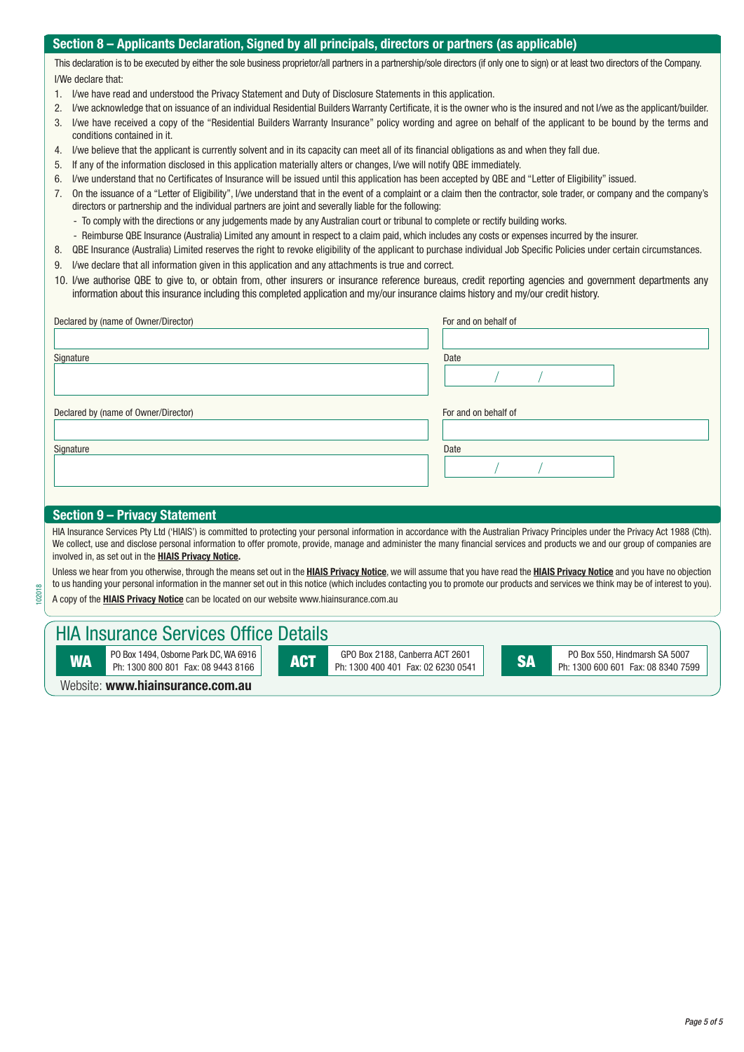### **Section 7 – Applicants Declaration, Signed by all principals, directors or partners (as applicable) Section 8 – Applicants Declaration, Signed by all principals, directors or partners (as applicable)**

This declaration is to be executed by either the sole business proprietor/all partners in a partnership/sole directors (if only one to sign) or at least two directors of the Company. I/We declare that:

- 1. I/we have read and understood the Privacy Statement and Duty of Disclosure Statements in this application.
- 2. I/we acknowledge that on issuance of an individual Residential Builders Warranty Certificate, it is the owner who is the insured and not I/we as the applicant/builder.
- 3. I/we have received a copy of the "Residential Builders Warranty Insurance" policy wording and agree on behalf of the applicant to be bound by the terms and conditions contained in it.
- 4. I/we believe that the applicant is currently solvent and in its capacity can meet all of its financial obligations as and when they fall due.
- 5. If any of the information disclosed in this application materially alters or changes, I/we will notify QBE immediately.
- 6. I/we understand that no Certificates of Insurance will be issued until this application has been accepted by QBE and "Letter of Eligibility" issued.
- 7. On the issuance of a "Letter of Eligibility", I/we understand that in the event of a complaint or a claim then the contractor, sole trader, or company and the company's directors or partnership and the individual partners are joint and severally liable for the following:
	- To comply with the directions or any judgements made by any Australian court or tribunal to complete or rectify building works.
- Reimburse QBE Insurance (Australia) Limited any amount in respect to a claim paid, which includes any costs or expenses incurred by the insurer.
- 8. QBE Insurance (Australia) Limited reserves the right to revoke eligibility of the applicant to purchase individual Job Specific Policies under certain circumstances.
- 9. I/we declare that all information given in this application and any attachments is true and correct.
- 10. I/we authorise QBE to give to, or obtain from, other insurers or insurance reference bureaus, credit reporting agencies and government departments any information about this insurance including this completed application and my/our insurance claims history and my/our credit history.

| Declared by (name of Owner/Director) | For and on behalf of |
|--------------------------------------|----------------------|
| Signature                            | Date                 |
| Declared by (name of Owner/Director) | For and on behalf of |
| Signature                            | Date                 |

### **Section 9 – Privacy Statement**

HIA Insurance Services Pty Ltd ('HIAIS') is committed to protecting your personal information in accordance with the Australian Privacy Principles under the Privacy Act 1988 (Cth). We collect, use and disclose personal information to offer promote, provide, manage and administer the many financial services and products we and our group of companies are involved in, as set out in the **HIAIS Privacy Notice.**

Unless we hear from you otherwise, through the means set out in the **HIAIS Privacy Notice**, we will assume that you have read the **HIAIS Privacy Notice** and you have no objection to us handing your personal information in the manner set out in this notice (which includes contacting you to promote our products and services we think may be of interest to you).

GPO Box 2188, Canberra ACT 2601 SA BOOT BOX 550, Hindmarsh SA 5007<br>Ph: 1300 400 401 Fax: 02 6230 0541 SA Boni 200 600 601 Fax: 08 8340 75

Ph: 1300 600 601 Fax: 08 8340 7599

A copy of the **HIAIS Privacy Notice** can be located on our website www.hiainsurance.com.au

# HIA Insurance Services Office Details

102018

WA PO Box 1494, Osborne Park DC, WA 6916 | ACT GPO Box 2188, Canberra ACT 2601<br>Ph: 1300 800 801 Fax: 08 9443 8166 | ACT Ph: 1300 400 401 Fax: 02 6230 054

Website: **www.hiainsurance.com.au**